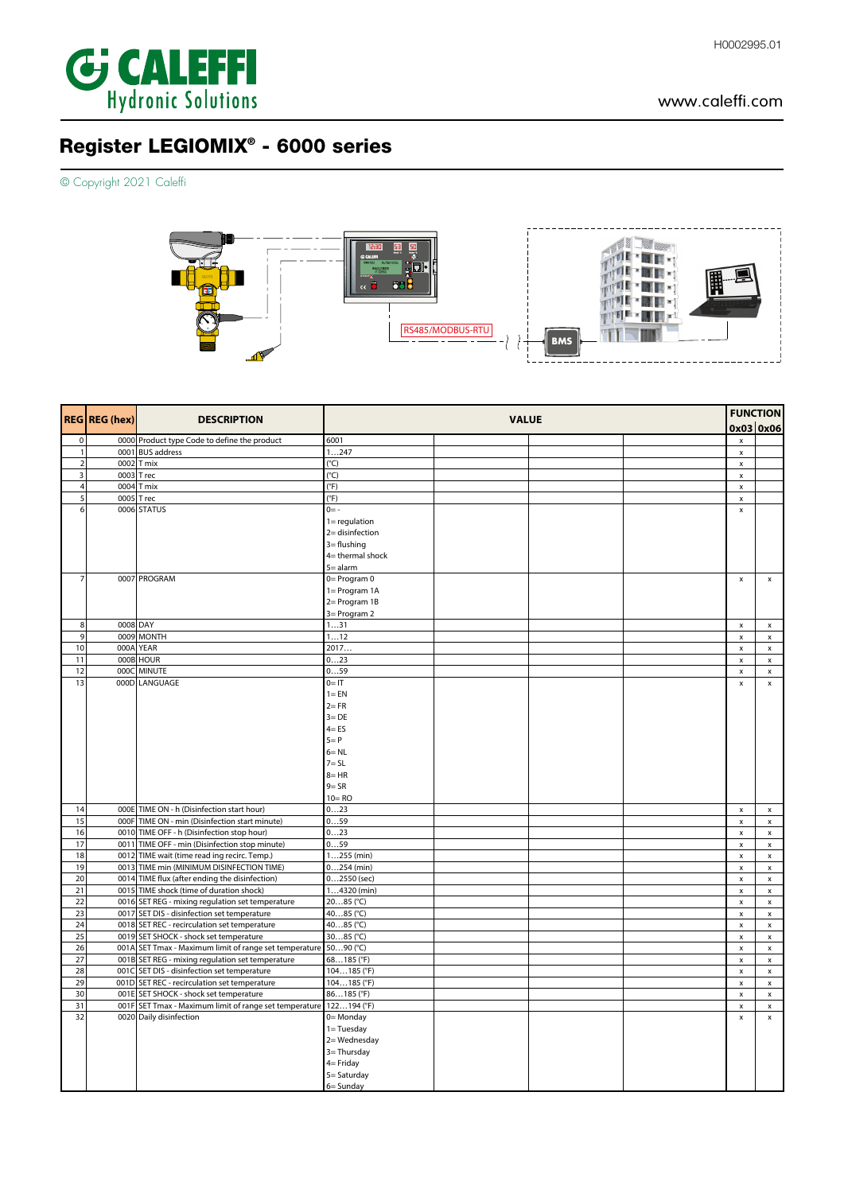

## www.caleffi.com

# Register LEGIOMIX® - 6000 series

© Copyright 2021 Caleffi



|                     | REG REG (hex) |                                                                                                 |                                                                                                                                                                                                                                                                                                                                                                                                                                                                                                                                                                                       |  |  |                                      | <b>FUNCTION</b>                          |
|---------------------|---------------|-------------------------------------------------------------------------------------------------|---------------------------------------------------------------------------------------------------------------------------------------------------------------------------------------------------------------------------------------------------------------------------------------------------------------------------------------------------------------------------------------------------------------------------------------------------------------------------------------------------------------------------------------------------------------------------------------|--|--|--------------------------------------|------------------------------------------|
|                     |               |                                                                                                 |                                                                                                                                                                                                                                                                                                                                                                                                                                                                                                                                                                                       |  |  | 0x03 0x06                            |                                          |
| $\pmb{0}$           |               | 0000 Product type Code to define the product                                                    | 6001                                                                                                                                                                                                                                                                                                                                                                                                                                                                                                                                                                                  |  |  | $\pmb{\times}$                       |                                          |
| $\mathbf{1}$        |               | 0001 BUS address                                                                                |                                                                                                                                                                                                                                                                                                                                                                                                                                                                                                                                                                                       |  |  | $\pmb{\mathsf{x}}$                   |                                          |
| $\overline{2}$      |               | 0002 T mix                                                                                      |                                                                                                                                                                                                                                                                                                                                                                                                                                                                                                                                                                                       |  |  | $\pmb{\times}$                       |                                          |
| 3<br>$\overline{4}$ | 0004          | 0003 T rec<br>T mix                                                                             |                                                                                                                                                                                                                                                                                                                                                                                                                                                                                                                                                                                       |  |  | $\pmb{\mathsf{x}}$<br>$\pmb{\times}$ |                                          |
| 5                   | 0005          | T rec                                                                                           |                                                                                                                                                                                                                                                                                                                                                                                                                                                                                                                                                                                       |  |  | $\mathsf x$                          |                                          |
| 6                   |               | 0006 STATUS                                                                                     | $0 = -$                                                                                                                                                                                                                                                                                                                                                                                                                                                                                                                                                                               |  |  | $\pmb{\times}$                       |                                          |
|                     |               |                                                                                                 | $1 =$ regulation                                                                                                                                                                                                                                                                                                                                                                                                                                                                                                                                                                      |  |  |                                      |                                          |
|                     |               |                                                                                                 | $2=$ disinfection                                                                                                                                                                                                                                                                                                                                                                                                                                                                                                                                                                     |  |  |                                      |                                          |
|                     |               |                                                                                                 |                                                                                                                                                                                                                                                                                                                                                                                                                                                                                                                                                                                       |  |  |                                      |                                          |
|                     |               |                                                                                                 |                                                                                                                                                                                                                                                                                                                                                                                                                                                                                                                                                                                       |  |  |                                      |                                          |
| $\overline{7}$      |               | 0007 PROGRAM                                                                                    |                                                                                                                                                                                                                                                                                                                                                                                                                                                                                                                                                                                       |  |  | $\pmb{\times}$                       | $\pmb{\mathsf{x}}$                       |
|                     |               |                                                                                                 |                                                                                                                                                                                                                                                                                                                                                                                                                                                                                                                                                                                       |  |  |                                      |                                          |
|                     |               |                                                                                                 |                                                                                                                                                                                                                                                                                                                                                                                                                                                                                                                                                                                       |  |  |                                      |                                          |
|                     |               |                                                                                                 |                                                                                                                                                                                                                                                                                                                                                                                                                                                                                                                                                                                       |  |  |                                      |                                          |
| $\bf 8$             | 0008 DAY      |                                                                                                 | 131                                                                                                                                                                                                                                                                                                                                                                                                                                                                                                                                                                                   |  |  | $\pmb{\times}$                       | $\pmb{\times}$                           |
| 9                   |               | 0009 MONTH                                                                                      | 112                                                                                                                                                                                                                                                                                                                                                                                                                                                                                                                                                                                   |  |  | $\pmb{\times}$                       | $\pmb{\mathsf{x}}$                       |
| 10                  | 000A          | <b>YEAR</b>                                                                                     | 2017                                                                                                                                                                                                                                                                                                                                                                                                                                                                                                                                                                                  |  |  | $\pmb{\times}$                       | $\pmb{\mathsf{x}}$                       |
| 11                  |               | 000B HOUR                                                                                       | 023                                                                                                                                                                                                                                                                                                                                                                                                                                                                                                                                                                                   |  |  | $\pmb{\times}$                       | $\pmb{\mathsf{x}}$                       |
| 12                  | 0000          | <b>MINUTE</b>                                                                                   |                                                                                                                                                                                                                                                                                                                                                                                                                                                                                                                                                                                       |  |  | $\pmb{\times}$                       | $\pmb{\mathsf{x}}$                       |
| 13                  |               | 000D LANGUAGE                                                                                   |                                                                                                                                                                                                                                                                                                                                                                                                                                                                                                                                                                                       |  |  | $\pmb{\times}$                       | $\pmb{\times}$                           |
|                     |               |                                                                                                 |                                                                                                                                                                                                                                                                                                                                                                                                                                                                                                                                                                                       |  |  |                                      |                                          |
|                     |               |                                                                                                 |                                                                                                                                                                                                                                                                                                                                                                                                                                                                                                                                                                                       |  |  |                                      |                                          |
|                     |               |                                                                                                 |                                                                                                                                                                                                                                                                                                                                                                                                                                                                                                                                                                                       |  |  |                                      |                                          |
|                     |               |                                                                                                 |                                                                                                                                                                                                                                                                                                                                                                                                                                                                                                                                                                                       |  |  |                                      |                                          |
|                     |               |                                                                                                 | $6 = NL$                                                                                                                                                                                                                                                                                                                                                                                                                                                                                                                                                                              |  |  |                                      |                                          |
|                     |               |                                                                                                 | $7 = SL$                                                                                                                                                                                                                                                                                                                                                                                                                                                                                                                                                                              |  |  |                                      |                                          |
|                     |               |                                                                                                 | $8 = HR$                                                                                                                                                                                                                                                                                                                                                                                                                                                                                                                                                                              |  |  |                                      |                                          |
|                     |               |                                                                                                 | <b>VALUE</b><br><b>DESCRIPTION</b><br>1247<br>(°C)<br>(°C)<br>(°F)<br>(°F)<br>$3 =$ flushing<br>4= thermal shock<br>$5 =$ alarm<br>0= Program 0<br>1= Program 1A<br>2= Program 1B<br>3= Program 2<br>059<br>$0=$ IT<br>$1 = EN$<br>$2 = FR$<br>$3 = DE$<br>$4 = ES$<br>$5 = P$<br>$9 = SR$<br>$10 = RO$<br>023<br>059<br>023<br>059<br>$1255$ (min)<br>$0254$ (min)<br>$02550$ (sec)<br>$14320$ (min)<br>2085 (°C)<br>4085 (°C)<br>4085 (°C)<br>3085 (°C)<br>$5090(^{\circ}C)$<br>68185 (°F)<br>104185 (°F)<br>104185 (°F)<br>86185 (°F)<br>122194 (°F)<br>0= Monday<br>$1 = Tuesday$ |  |  |                                      |                                          |
|                     |               |                                                                                                 |                                                                                                                                                                                                                                                                                                                                                                                                                                                                                                                                                                                       |  |  |                                      |                                          |
| 14                  |               | 000E TIME ON - h (Disinfection start hour)                                                      |                                                                                                                                                                                                                                                                                                                                                                                                                                                                                                                                                                                       |  |  | $\pmb{\times}$                       | x                                        |
| 15<br>16            |               | 000F TIME ON - min (Disinfection start minute)<br>0010 TIME OFF - h (Disinfection stop hour)    |                                                                                                                                                                                                                                                                                                                                                                                                                                                                                                                                                                                       |  |  | $\pmb{\times}$                       | $\pmb{\mathsf{x}}$                       |
| 17                  |               | 0011 TIME OFF - min (Disinfection stop minute)                                                  |                                                                                                                                                                                                                                                                                                                                                                                                                                                                                                                                                                                       |  |  | $\pmb{\times}$<br>$\pmb{\times}$     | $\pmb{\mathsf{x}}$<br>$\pmb{\mathsf{x}}$ |
| 18                  | 0012          | TIME wait (time read ing recirc. Temp.)                                                         |                                                                                                                                                                                                                                                                                                                                                                                                                                                                                                                                                                                       |  |  | $\pmb{\times}$                       | $\pmb{\times}$                           |
| 19                  | 0013          | TIME min (MINIMUM DISINFECTION TIME)                                                            |                                                                                                                                                                                                                                                                                                                                                                                                                                                                                                                                                                                       |  |  | $\pmb{\times}$                       | $\pmb{\mathsf{x}}$                       |
| 20                  |               | 0014 TIME flux (after ending the disinfection)                                                  |                                                                                                                                                                                                                                                                                                                                                                                                                                                                                                                                                                                       |  |  | $\pmb{\times}$                       | $\pmb{\mathsf{x}}$                       |
| 21                  |               | 0015 TIME shock (time of duration shock)                                                        |                                                                                                                                                                                                                                                                                                                                                                                                                                                                                                                                                                                       |  |  | $\pmb{\times}$                       | $\pmb{\mathsf{x}}$                       |
| 22                  |               | 0016 SET REG - mixing regulation set temperature                                                |                                                                                                                                                                                                                                                                                                                                                                                                                                                                                                                                                                                       |  |  | $\pmb{\times}$                       | $\pmb{\times}$                           |
| 23                  |               | 0017 SET DIS - disinfection set temperature                                                     |                                                                                                                                                                                                                                                                                                                                                                                                                                                                                                                                                                                       |  |  | $\pmb{\times}$                       | $\pmb{\mathsf{x}}$                       |
| 24                  |               | 0018 SET REC - recirculation set temperature                                                    |                                                                                                                                                                                                                                                                                                                                                                                                                                                                                                                                                                                       |  |  | $\boldsymbol{\mathsf{x}}$            | $\pmb{\mathsf{x}}$                       |
| 25                  |               | 0019 SET SHOCK - shock set temperature                                                          |                                                                                                                                                                                                                                                                                                                                                                                                                                                                                                                                                                                       |  |  | $\pmb{\times}$                       | $\pmb{\mathsf{x}}$                       |
| 26<br>27            |               | 001A SET Tmax - Maximum limit of range set temperature                                          |                                                                                                                                                                                                                                                                                                                                                                                                                                                                                                                                                                                       |  |  | $\pmb{\mathsf{x}}$                   | $\pmb{\mathsf{x}}$                       |
| 28                  |               | 001B SET REG - mixing regulation set temperature<br>001C SET DIS - disinfection set temperature |                                                                                                                                                                                                                                                                                                                                                                                                                                                                                                                                                                                       |  |  | $\pmb{\times}$<br>$\pmb{\times}$     | $\pmb{\mathsf{x}}$<br>$\pmb{\times}$     |
| 29                  |               | 001D SET REC - recirculation set temperature                                                    |                                                                                                                                                                                                                                                                                                                                                                                                                                                                                                                                                                                       |  |  | $\pmb{\times}$                       | $\pmb{\mathsf{x}}$                       |
| 30                  |               | 001E SET SHOCK - shock set temperature                                                          |                                                                                                                                                                                                                                                                                                                                                                                                                                                                                                                                                                                       |  |  | $\pmb{\times}$                       | $\pmb{\mathsf{x}}$                       |
| 31                  |               | 001F SET Tmax - Maximum limit of range set temperature                                          |                                                                                                                                                                                                                                                                                                                                                                                                                                                                                                                                                                                       |  |  | $\pmb{\times}$                       | $\pmb{\mathsf{x}}$                       |
| 32                  |               | 0020 Daily disinfection                                                                         |                                                                                                                                                                                                                                                                                                                                                                                                                                                                                                                                                                                       |  |  | $\mathbf{x}$                         | $\mathbf{x}$                             |
|                     |               |                                                                                                 |                                                                                                                                                                                                                                                                                                                                                                                                                                                                                                                                                                                       |  |  |                                      |                                          |
|                     |               |                                                                                                 | 2= Wednesday                                                                                                                                                                                                                                                                                                                                                                                                                                                                                                                                                                          |  |  |                                      |                                          |
|                     |               |                                                                                                 | 3= Thursday                                                                                                                                                                                                                                                                                                                                                                                                                                                                                                                                                                           |  |  |                                      |                                          |
|                     |               |                                                                                                 | $4=$ Friday                                                                                                                                                                                                                                                                                                                                                                                                                                                                                                                                                                           |  |  |                                      |                                          |
|                     |               |                                                                                                 | 5= Saturday                                                                                                                                                                                                                                                                                                                                                                                                                                                                                                                                                                           |  |  |                                      |                                          |
|                     |               |                                                                                                 | 6= Sunday                                                                                                                                                                                                                                                                                                                                                                                                                                                                                                                                                                             |  |  |                                      |                                          |